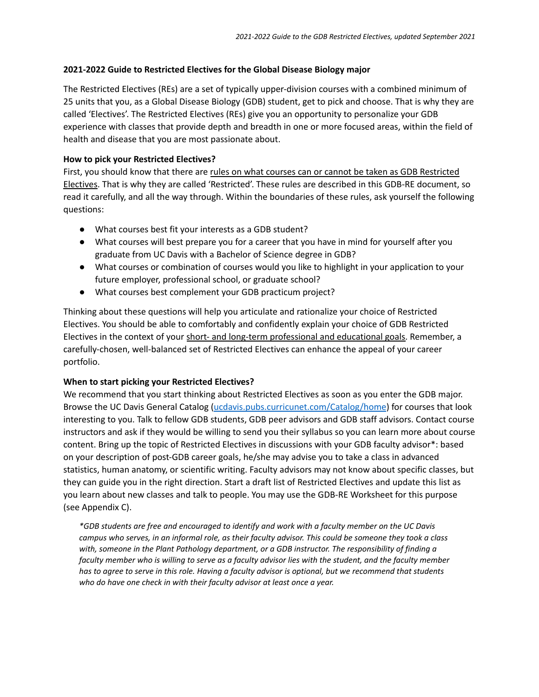## **2021-2022 Guide to Restricted Electives for the Global Disease Biology major**

The Restricted Electives (REs) are a set of typically upper-division courses with a combined minimum of 25 units that you, as a Global Disease Biology (GDB) student, get to pick and choose. That is why they are called 'Electives'. The Restricted Electives (REs) give you an opportunity to personalize your GDB experience with classes that provide depth and breadth in one or more focused areas, within the field of health and disease that you are most passionate about.

# **How to pick your Restricted Electives?**

First, you should know that there are rules on what courses can or cannot be taken as GDB Restricted Electives. That is why they are called 'Restricted'. These rules are described in this GDB-RE document, so read it carefully, and all the way through. Within the boundaries of these rules, ask yourself the following questions:

- What courses best fit your interests as a GDB student?
- What courses will best prepare you for a career that you have in mind for yourself after you graduate from UC Davis with a Bachelor of Science degree in GDB?
- What courses or combination of courses would you like to highlight in your application to your future employer, professional school, or graduate school?
- What courses best complement your GDB practicum project?

Thinking about these questions will help you articulate and rationalize your choice of Restricted Electives. You should be able to comfortably and confidently explain your choice of GDB Restricted Electives in the context of your short- and long-term professional and educational goals. Remember, a carefully-chosen, well-balanced set of Restricted Electives can enhance the appeal of your career portfolio.

# **When to start picking your Restricted Electives?**

We recommend that you start thinking about Restricted Electives as soon as you enter the GDB major. Browse the UC Davis General Catalog [\(ucdavis.pubs.curricunet.com/Catalog/home](https://ucdavis.pubs.curricunet.com/Catalog/home)) for courses that look interesting to you. Talk to fellow GDB students, GDB peer advisors and GDB staff advisors. Contact course instructors and ask if they would be willing to send you their syllabus so you can learn more about course content. Bring up the topic of Restricted Electives in discussions with your GDB faculty advisor\*: based on your description of post-GDB career goals, he/she may advise you to take a class in advanced statistics, human anatomy, or scientific writing. Faculty advisors may not know about specific classes, but they can guide you in the right direction. Start a draft list of Restricted Electives and update this list as you learn about new classes and talk to people. You may use the GDB-RE Worksheet for this purpose (see Appendix C).

*\*GDB students are free and encouraged to identify and work with a faculty member on the UC Davis* campus who serves, in an informal role, as their faculty advisor. This could be someone they took a class *with, someone in the Plant Pathology department, or a GDB instructor. The responsibility of finding a* faculty member who is willing to serve as a faculty advisor lies with the student, and the faculty member has to agree to serve in this role. Having a faculty advisor is optional, but we recommend that students *who do have one check in with their faculty advisor at least once a year.*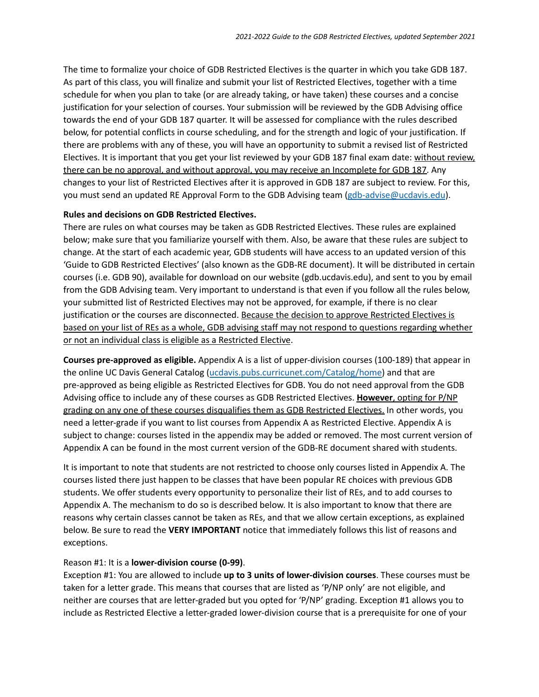The time to formalize your choice of GDB Restricted Electives is the quarter in which you take GDB 187. As part of this class, you will finalize and submit your list of Restricted Electives, together with a time schedule for when you plan to take (or are already taking, or have taken) these courses and a concise justification for your selection of courses. Your submission will be reviewed by the GDB Advising office towards the end of your GDB 187 quarter. It will be assessed for compliance with the rules described below, for potential conflicts in course scheduling, and for the strength and logic of your justification. If there are problems with any of these, you will have an opportunity to submit a revised list of Restricted Electives. It is important that you get your list reviewed by your GDB 187 final exam date: without review, there can be no approval, and without approval, you may receive an Incomplete for GDB 187. Any changes to your list of Restricted Electives after it is approved in GDB 187 are subject to review. For this, you must send an updated RE Approval Form to the GDB Advising team [\(gdb-advise@ucdavis.edu](mailto:gdb-advise@ucdavis.edu)).

#### **Rules and decisions on GDB Restricted Electives.**

There are rules on what courses may be taken as GDB Restricted Electives. These rules are explained below; make sure that you familiarize yourself with them. Also, be aware that these rules are subject to change. At the start of each academic year, GDB students will have access to an updated version of this 'Guide to GDB Restricted Electives' (also known as the GDB-RE document). It will be distributed in certain courses (i.e. GDB 90), available for download on our website (gdb.ucdavis.edu), and sent to you by email from the GDB Advising team. Very important to understand is that even if you follow all the rules below, your submitted list of Restricted Electives may not be approved, for example, if there is no clear justification or the courses are disconnected. Because the decision to approve Restricted Electives is based on your list of REs as a whole, GDB advising staff may not respond to questions regarding whether or not an individual class is eligible as a Restricted Elective.

**Courses pre-approved as eligible.** Appendix A is a list of upper-division courses (100-189) that appear in the online UC Davis General Catalog ([ucdavis.pubs.curricunet.com/Catalog/home\)](https://ucdavis.pubs.curricunet.com/Catalog/home) and that are pre-approved as being eligible as Restricted Electives for GDB. You do not need approval from the GDB Advising office to include any of these courses as GDB Restricted Electives. **However**, opting for P/NP grading on any one of these courses disqualifies them as GDB Restricted Electives. In other words, you need a letter-grade if you want to list courses from Appendix A as Restricted Elective. Appendix A is subject to change: courses listed in the appendix may be added or removed. The most current version of Appendix A can be found in the most current version of the GDB-RE document shared with students.

It is important to note that students are not restricted to choose only courses listed in Appendix A. The courses listed there just happen to be classes that have been popular RE choices with previous GDB students. We offer students every opportunity to personalize their list of REs, and to add courses to Appendix A. The mechanism to do so is described below. It is also important to know that there are reasons why certain classes cannot be taken as REs, and that we allow certain exceptions, as explained below. Be sure to read the **VERY IMPORTANT** notice that immediately follows this list of reasons and exceptions.

#### Reason #1: It is a **lower-division course (0-99)**.

Exception #1: You are allowed to include **up to 3 units of lower-division courses**. These courses must be taken for a letter grade. This means that courses that are listed as 'P/NP only' are not eligible, and neither are courses that are letter-graded but you opted for 'P/NP' grading. Exception #1 allows you to include as Restricted Elective a letter-graded lower-division course that is a prerequisite for one of your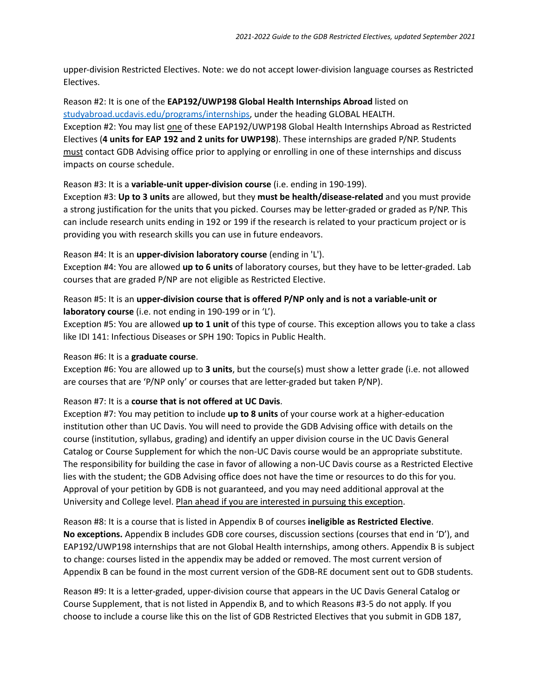upper-division Restricted Electives. Note: we do not accept lower-division language courses as Restricted Electives.

Reason #2: It is one of the **EAP192/UWP198 Global Health Internships Abroad** listed on [studyabroad.ucdavis.edu/programs/internships,](https://studyabroad.ucdavis.edu/programs/internships) under the heading GLOBAL HEALTH. Exception #2: You may list one of these EAP192/UWP198 Global Health Internships Abroad as Restricted Electives (**4 units for EAP 192 and 2 units for UWP198**). These internships are graded P/NP. Students must contact GDB Advising office prior to applying or enrolling in one of these internships and discuss impacts on course schedule.

## Reason #3: It is a **variable-unit upper-division course** (i.e. ending in 190-199).

Exception #3: **Up to 3 units** are allowed, but they **must be health/disease-related** and you must provide a strong justification for the units that you picked. Courses may be letter-graded or graded as P/NP. This can include research units ending in 192 or 199 if the research is related to your practicum project or is providing you with research skills you can use in future endeavors.

## Reason #4: It is an **upper-division laboratory course** (ending in 'L').

Exception #4: You are allowed **up to 6 units** of laboratory courses, but they have to be letter-graded. Lab courses that are graded P/NP are not eligible as Restricted Elective.

# Reason #5: It is an **upper-division course that is offered P/NP only and is not a variable-unit or laboratory course** (i.e. not ending in 190-199 or in 'L').

Exception #5: You are allowed **up to 1 unit** of this type of course. This exception allows you to take a class like IDI 141: Infectious Diseases or SPH 190: Topics in Public Health.

# Reason #6: It is a **graduate course**.

Exception #6: You are allowed up to **3 units**, but the course(s) must show a letter grade (i.e. not allowed are courses that are 'P/NP only' or courses that are letter-graded but taken P/NP).

# Reason #7: It is a **course that is not offered at UC Davis**.

Exception #7: You may petition to include **up to 8 units** of your course work at a higher-education institution other than UC Davis. You will need to provide the GDB Advising office with details on the course (institution, syllabus, grading) and identify an upper division course in the UC Davis General Catalog or Course Supplement for which the non-UC Davis course would be an appropriate substitute. The responsibility for building the case in favor of allowing a non-UC Davis course as a Restricted Elective lies with the student; the GDB Advising office does not have the time or resources to do this for you. Approval of your petition by GDB is not guaranteed, and you may need additional approval at the University and College level. Plan ahead if you are interested in pursuing this exception.

Reason #8: It is a course that is listed in Appendix B of courses **ineligible as Restricted Elective**. **No exceptions.** Appendix B includes GDB core courses, discussion sections (courses that end in 'D'), and EAP192/UWP198 internships that are not Global Health internships, among others. Appendix B is subject to change: courses listed in the appendix may be added or removed. The most current version of Appendix B can be found in the most current version of the GDB-RE document sent out to GDB students.

Reason #9: It is a letter-graded, upper-division course that appears in the UC Davis General Catalog or Course Supplement, that is not listed in Appendix B, and to which Reasons #3-5 do not apply. If you choose to include a course like this on the list of GDB Restricted Electives that you submit in GDB 187,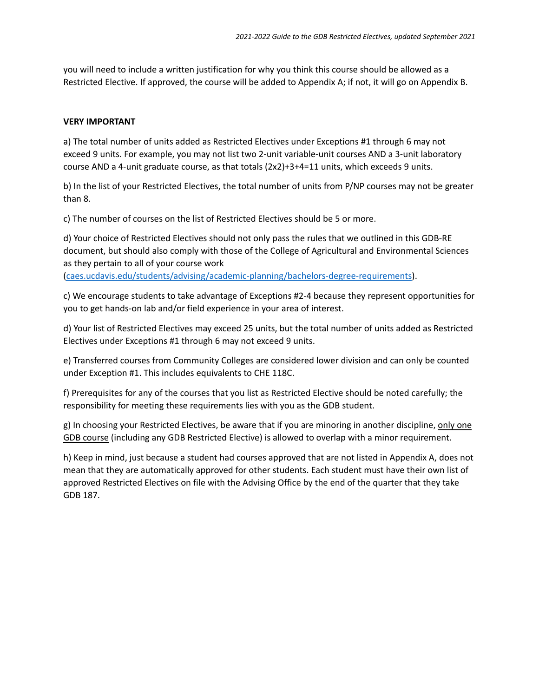you will need to include a written justification for why you think this course should be allowed as a Restricted Elective. If approved, the course will be added to Appendix A; if not, it will go on Appendix B.

## **VERY IMPORTANT**

a) The total number of units added as Restricted Electives under Exceptions #1 through 6 may not exceed 9 units. For example, you may not list two 2-unit variable-unit courses AND a 3-unit laboratory course AND a 4-unit graduate course, as that totals (2x2)+3+4=11 units, which exceeds 9 units.

b) In the list of your Restricted Electives, the total number of units from P/NP courses may not be greater than 8.

c) The number of courses on the list of Restricted Electives should be 5 or more.

d) Your choice of Restricted Electives should not only pass the rules that we outlined in this GDB-RE document, but should also comply with those of the College of Agricultural and Environmental Sciences as they pertain to all of your course work [\(caes.ucdavis.edu/students/advising/academic-planning/bachelors-degree-requirements](https://caes.ucdavis.edu/students/advising/academic-planning/bachelors-degree-requirements)).

c) We encourage students to take advantage of Exceptions #2-4 because they represent opportunities for you to get hands-on lab and/or field experience in your area of interest.

d) Your list of Restricted Electives may exceed 25 units, but the total number of units added as Restricted Electives under Exceptions #1 through 6 may not exceed 9 units.

e) Transferred courses from Community Colleges are considered lower division and can only be counted under Exception #1. This includes equivalents to CHE 118C.

f) Prerequisites for any of the courses that you list as Restricted Elective should be noted carefully; the responsibility for meeting these requirements lies with you as the GDB student.

g) In choosing your Restricted Electives, be aware that if you are minoring in another discipline, only one GDB course (including any GDB Restricted Elective) is allowed to overlap with a minor requirement.

h) Keep in mind, just because a student had courses approved that are not listed in Appendix A, does not mean that they are automatically approved for other students. Each student must have their own list of approved Restricted Electives on file with the Advising Office by the end of the quarter that they take GDB 187.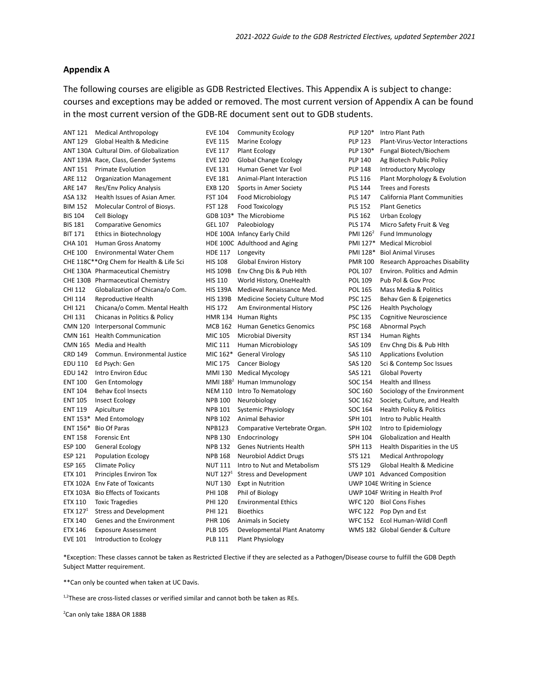#### **Appendix A**

The following courses are eligible as GDB Restricted Electives. This Appendix A is subject to change: courses and exceptions may be added or removed. The most current version of Appendix A can be found in the most current version of the GDB-RE document sent out to GDB students.

| ANT 121        | <b>Medical Anthropology</b>              | <b>EVE 104</b>  | <b>Community Ecology</b>           | PLP 120*             | Intro Plant Path                      |
|----------------|------------------------------------------|-----------------|------------------------------------|----------------------|---------------------------------------|
| <b>ANT 129</b> | Global Health & Medicine                 | <b>EVE 115</b>  | Marine Ecology                     | <b>PLP 123</b>       | Plant-Virus-Vector Interactions       |
|                | ANT 130A Cultural Dim. of Globalization  | <b>EVE 117</b>  | Plant Ecology                      | PLP 130*             | Fungal Biotech/Biochem                |
|                | ANT 139A Race, Class, Gender Systems     | <b>EVE 120</b>  | Global Change Ecology              | <b>PLP 140</b>       | Ag Biotech Public Policy              |
| ANT 151        | Primate Evolution                        | <b>EVE 131</b>  | Human Genet Var Evol               | <b>PLP 148</b>       | <b>Introductory Mycology</b>          |
| ARE 112        | <b>Organization Management</b>           | <b>EVE 181</b>  | Animal-Plant Interaction           | <b>PLS 116</b>       | Plant Morphology & Evolution          |
| <b>ARE 147</b> | Res/Env Policy Analysis                  | <b>EXB 120</b>  | Sports in Amer Society             | <b>PLS 144</b>       | <b>Trees and Forests</b>              |
| ASA 132        | Health Issues of Asian Amer.             | <b>FST 104</b>  | Food Microbiology                  | <b>PLS 147</b>       | California Plant Communities          |
| <b>BIM 152</b> | Molecular Control of Biosys.             | <b>FST 128</b>  | Food Toxicology                    | <b>PLS 152</b>       | <b>Plant Genetics</b>                 |
| <b>BIS 104</b> | Cell Biology                             |                 | GDB 103* The Microbiome            | <b>PLS 162</b>       | Urban Ecology                         |
| <b>BIS 181</b> | <b>Comparative Genomics</b>              | <b>GEL 107</b>  | Paleobiology                       | <b>PLS 174</b>       | Micro Safety Fruit & Veg              |
| <b>BIT 171</b> | Ethics in Biotechnology                  |                 | HDE 100A Infancy Early Child       | PMI 126 <sup>2</sup> | Fund Immunology                       |
| <b>CHA 101</b> | Human Gross Anatomy                      |                 | HDE 100C Adulthood and Aging       |                      | PMI 127* Medical Microbiol            |
| <b>CHE 100</b> | <b>Environmental Water Chem</b>          | <b>HDE 117</b>  | Longevity                          | PMI 128*             | <b>Biol Animal Viruses</b>            |
|                | CHE 118C**Org Chem for Health & Life Sci | <b>HIS 108</b>  | <b>Global Environ History</b>      | <b>PMR 100</b>       | <b>Research Approaches Disability</b> |
|                | CHE 130A Pharmaceutical Chemistry        | <b>HIS 109B</b> | Env Chng Dis & Pub Hlth            | POL 107              | Environ. Politics and Admin           |
|                | CHE 130B Pharmaceutical Chemistry        | <b>HIS 110</b>  | World History, OneHealth           | <b>POL 109</b>       | Pub Pol & Gov Proc                    |
| CHI 112        | Globalization of Chicana/o Com.          |                 | HIS 139A Medieval Renaissance Med. | <b>POL 165</b>       | Mass Media & Politics                 |
| CHI 114        | <b>Reproductive Health</b>               | <b>HIS 139B</b> | Medicine Society Culture Mod       | <b>PSC 125</b>       | Behav Gen & Epigenetics               |
| CHI 121        | Chicana/o Comm. Mental Health            | <b>HIS 172</b>  | Am Environmental History           | <b>PSC 126</b>       | <b>Health Psychology</b>              |
| CHI 131        | Chicanas in Politics & Policy            |                 | HMR 134 Human Rights               | <b>PSC 135</b>       | <b>Cognitive Neuroscience</b>         |
|                | CMN 120 Interpersonal Communic           |                 | MCB 162 Human Genetics Genomics    | <b>PSC 168</b>       | Abnormal Psych                        |
|                | CMN 161 Health Communication             | MIC 105         | <b>Microbial Diversity</b>         | <b>RST 134</b>       | Human Rights                          |
|                | CMN 165 Media and Health                 | MIC 111         | Human Microbiology                 | <b>SAS 109</b>       | Env Chng Dis & Pub Hlth               |
| <b>CRD 149</b> | Commun. Environmental Justice            |                 | MIC 162* General Virology          | <b>SAS 110</b>       | <b>Applications Evolution</b>         |
| EDU 110        | Ed Psych: Gen                            | MIC 175         | <b>Cancer Biology</b>              | <b>SAS 120</b>       | Sci & Contemp Soc Issues              |
| <b>EDU 142</b> | Intro Environ Educ                       |                 | MMI 130 Medical Mycology           | <b>SAS 121</b>       | Global Poverty                        |
| <b>ENT 100</b> | Gen Entomology                           |                 | MMI $1882$ Human Immunology        | SOC 154              | <b>Health and Illness</b>             |
| <b>ENT 104</b> | <b>Behav Ecol Insects</b>                |                 | NEM 110 Intro To Nematology        | SOC 160              | Sociology of the Environment          |
| <b>ENT 105</b> | Insect Ecology                           | <b>NPB 100</b>  | Neurobiology                       | SOC 162              | Society, Culture, and Health          |
| <b>ENT 119</b> | Apiculture                               | <b>NPB 101</b>  | <b>Systemic Physiology</b>         | SOC 164              | Health Policy & Politics              |
|                | ENT 153* Med Entomology                  | <b>NPB 102</b>  | Animal Behavior                    | SPH 101              | Intro to Public Health                |
| ENT 156*       | <b>Bio Of Paras</b>                      | <b>NPB123</b>   | Comparative Vertebrate Organ.      | <b>SPH 102</b>       | Intro to Epidemiology                 |
| <b>ENT 158</b> | <b>Forensic Ent</b>                      | <b>NPB 130</b>  | Endocrinology                      | SPH 104              | Globalization and Health              |
| <b>ESP 100</b> | <b>General Ecology</b>                   | <b>NPB 132</b>  | <b>Genes Nutrients Health</b>      | SPH 113              | Health Disparities in the US          |
| <b>ESP 121</b> | <b>Population Ecology</b>                | <b>NPB 168</b>  | <b>Neurobiol Addict Drugs</b>      | <b>STS 121</b>       | <b>Medical Anthropology</b>           |
| <b>ESP 165</b> | Climate Policy                           | <b>NUT 111</b>  | Intro to Nut and Metabolism        | <b>STS 129</b>       | Global Health & Medicine              |
| <b>ETX 101</b> | <b>Principles Environ Tox</b>            | NUT $127^1$     | <b>Stress and Development</b>      |                      | UWP 101 Advanced Composition          |
|                | ETX 102A Env Fate of Toxicants           | <b>NUT 130</b>  | <b>Expt in Nutrition</b>           |                      | UWP 104E Writing in Science           |
|                | ETX 103A Bio Effects of Toxicants        | <b>PHI 108</b>  | Phil of Biology                    |                      | UWP 104F Writing in Health Prof       |
| ETX 110        | <b>Toxic Tragedies</b>                   | <b>PHI 120</b>  | <b>Environmental Ethics</b>        |                      | WFC 120 Biol Cons Fishes              |
| ETX $1271$     | <b>Stress and Development</b>            | <b>PHI 121</b>  | <b>Bioethics</b>                   |                      | WFC 122 Pop Dyn and Est               |
| <b>ETX 140</b> | Genes and the Environment                | <b>PHR 106</b>  | Animals in Society                 |                      | WFC 152 Ecol Human-Wildl Confl        |
| <b>ETX 146</b> | <b>Exposure Assessment</b>               | <b>PLB 105</b>  | Developmental Plant Anatomy        |                      | WMS 182 Global Gender & Culture       |
| <b>EVE 101</b> | Introduction to Ecology                  | <b>PLB 111</b>  | Plant Physiology                   |                      |                                       |

\*Exception: These classes cannot be taken as Restricted Elective if they are selected as a Pathogen/Disease course to fulfill the GDB Depth Subject Matter requirement.

\*\*Can only be counted when taken at UC Davis.

<sup>1,2</sup>These are cross-listed classes or verified similar and cannot both be taken as REs.

<sup>2</sup>Can only take 188A OR 188B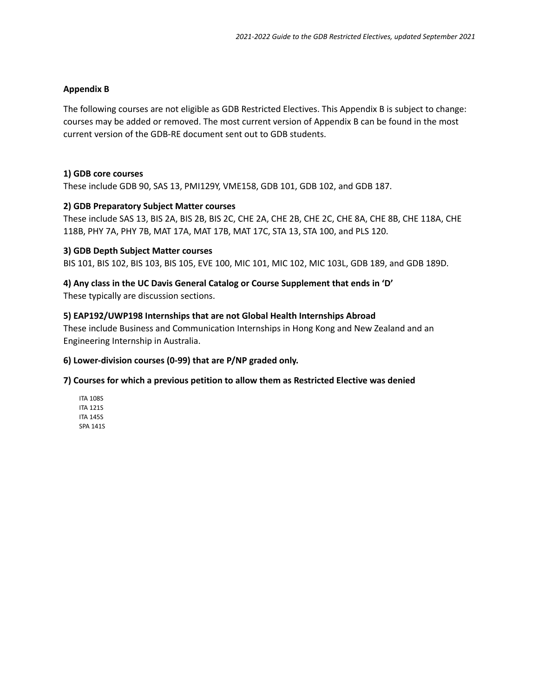#### **Appendix B**

The following courses are not eligible as GDB Restricted Electives. This Appendix B is subject to change: courses may be added or removed. The most current version of Appendix B can be found in the most current version of the GDB-RE document sent out to GDB students.

#### **1) GDB core courses**

These include GDB 90, SAS 13, PMI129Y, VME158, GDB 101, GDB 102, and GDB 187.

#### **2) GDB Preparatory Subject Matter courses**

These include SAS 13, BIS 2A, BIS 2B, BIS 2C, CHE 2A, CHE 2B, CHE 2C, CHE 8A, CHE 8B, CHE 118A, CHE 118B, PHY 7A, PHY 7B, MAT 17A, MAT 17B, MAT 17C, STA 13, STA 100, and PLS 120.

#### **3) GDB Depth Subject Matter courses**

BIS 101, BIS 102, BIS 103, BIS 105, EVE 100, MIC 101, MIC 102, MIC 103L, GDB 189, and GDB 189D.

# **4) Any class in the UC Davis General Catalog or Course Supplement that ends in 'D'**

These typically are discussion sections.

#### **5) EAP192/UWP198 Internships that are not Global Health Internships Abroad**

These include Business and Communication Internships in Hong Kong and New Zealand and an Engineering Internship in Australia.

## **6) Lower-division courses (0-99) that are P/NP graded only.**

## **7) Courses for which a previous petition to allow them as Restricted Elective was denied**

ITA 108S ITA 121S ITA 145S SPA 141S